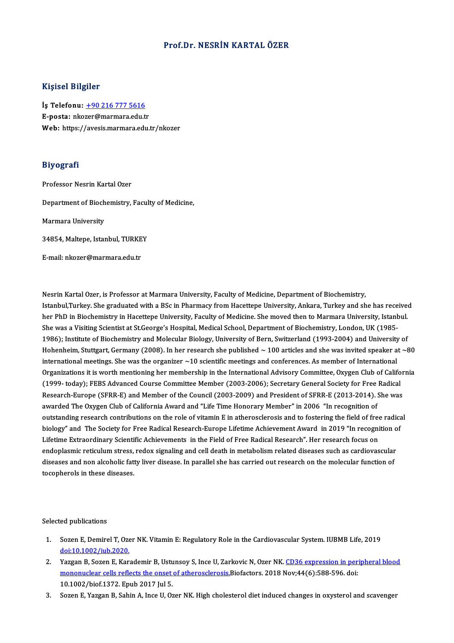# Prof.Dr. NESRİN KARTAL ÖZER

### Kişisel Bilgiler

İş Telefonu: +90 216 777 5616 E-posta: nko[zer@marmara.edu.t](tel:+90 216 777 5616)r Web: https://avesis.marmara.edu.tr/nkozer

# Biyografi

Professor Nesrin Kartal Ozer

Department of Biochemistry, Faculty of Medicine,

Marmara University

Marmara University<br>34854, Maltepe, Istanbul, TURKEY 34854, Maltepe, Istanbul, TURKE<br>E-mail: nkozer@marmara.edu.tr

Nesrin Kartal Ozer, is Professor at Marmara University, Faculty of Medicine, Department of Biochemistry, Nesrin Kartal Ozer, is Professor at Marmara University, Faculty of Medicine, Department of Biochemistry,<br>Istanbul,Turkey. She graduated with a BSc in Pharmacy from Hacettepe University, Ankara, Turkey and she has received<br> Nesrin Kartal Ozer, is Professor at Marmara University, Faculty of Medicine, Department of Biochemistry,<br>Istanbul,Turkey. She graduated with a BSc in Pharmacy from Hacettepe University, Ankara, Turkey and she has receive<br>h Istanbul,Turkey. She graduated with a BSc in Pharmacy from Hacettepe University, Ankara, Turkey and she has rece<br>her PhD in Biochemistry in Hacettepe University, Faculty of Medicine. She moved then to Marmara University, I her PhD in Biochemistry in Hacettepe University, Faculty of Medicine. She moved then to Marmara University, Istanbul.<br>She was a Visiting Scientist at St.George's Hospital, Medical School, Department of Biochemistry, London She was a Visiting Scientist at St.George's Hospital, Medical School, Department of Biochemistry, London, UK (1985-<br>1986); Institute of Biochemistry and Molecular Biology, University of Bern, Switzerland (1993-2004) and Un 1986); Institute of Biochemistry and Molecular Biology, University of Bern, Switzerland (1993-2004) and University of<br>Hohenheim, Stuttgart, Germany (2008). In her research she published  $\sim$  100 articles and she was invit Hohenheim, Stuttgart, Germany (2008). In her research she published ~ 100 articles and she was invited speaker at ~80<br>international meetings. She was the organizer ~10 scientific meetings and conferences. As member of Inte (1999- today); FEBS Advanced Course Committee Member (2003-2006); Secretary General Society for Free Radical Organizations it is worth mentioning her membership in the International Advisory Committee, Oxygen Club of Califor<br>(1999- today); FEBS Advanced Course Committee Member (2003-2006); Secretary General Society for Free Radic (1999- today); FEBS Advanced Course Committee Member (2003-2006); Secretary General Society for Free<br>Research-Europe (SFRR-E) and Member of the Council (2003-2009) and President of SFRR-E (2013-2014). :<br>awarded The Oxygen Research-Europe (SFRR-E) and Member of the Council (2003-2009) and President of SFRR-E (2013-2014). She was<br>awarded The Oxygen Club of California Award and "Life Time Honorary Member" in 2006 "In recognition of<br>outstanding awarded The Oxygen Club of California Award and "Life Time Honorary Member" in 2006 "In recognition of<br>outstanding research contributions on the role of vitamin E in atherosclerosis and to fostering the field of free radic outstanding research contributions on the role of vitamin E in atherosclerosis and to fostering the field of free<br>biology" and The Society for Free Radical Research-Europe Lifetime Achievement Award in 2019 "In recogni<br>Li biology" and The Society for Free Radical Research-Europe Lifetime Achievement Award in 2019 "In recognition o<br>Lifetime Extraordinary Scientific Achievements in the Field of Free Radical Research". Her research focus on Lifetime Extraordinary Scientific Achievements in the Field of Free Radical Research". Her research focus on<br>endoplasmic reticulum stress, redox signaling and cell death in metabolism related diseases such as cardiovascul endoplasmic reticulum stress,<br>diseases and non alcoholic fatt<br>tocopherols in these diseases.

Selected publications

- elected publications<br>1. Sozen E, Demirel T, Ozer NK. Vitamin E: Regulatory Role in the Cardiovascular System. IUBMB Life, 2019<br>dei:10 1003 (inh 2020 ed publications<br>Sozen E, Demirel T, Oze<br>doi:10.1002/iub.2020.<br>Versen B, Seren E, Ken 2. Sozen E, Demirel T, Ozer NK. Vitamin E: Regulatory Role in the Cardiovascular System. IUBMB Life, 2019<br>
2. Yazgan B, Sozen E, Karademir B, Ustunsoy S, Ince U, Zarkovic N, Ozer NK. CD36 expression in peripheral blood<br>
2.
- doi:10.1002/iub.2020.<br>Yazgan B, Sozen E, Karademir B, Ustunsoy S, Ince U, Zarkovic N, Ozer NK. <u>CD36 expression in pertononuclear cells reflects the onset of atherosclerosis.</u>Biofactors. 2018 Nov;44(6):588-596. doi:<br>10.100 Yazgan B, Sozen E, Karademir B, Ustu<br><u>mononuclear cells reflects the onset</u><br>10.1002/biof.1372. Epub 2017 Jul 5.<br>Sozen E Yazgan B, Sobin A, Ince II, Or 3. SozenE,YazganB,SahinA, InceU,OzerNK.High cholesteroldiet induced changes inoxysteroland scavenger
-